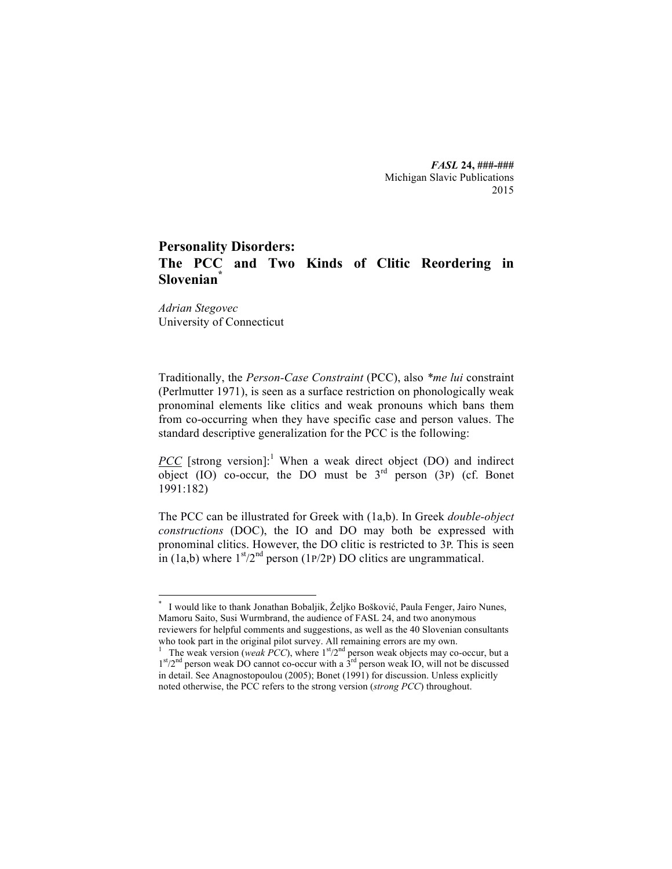*FASL* **24, ###-###** Michigan Slavic Publications 2015

# **Personality Disorders: The PCC and Two Kinds of Clitic Reordering in Slovenian\***

*Adrian Stegovec* University of Connecticut

Traditionally, the *Person-Case Constraint* (PCC), also *\*me lui* constraint (Perlmutter 1971), is seen as a surface restriction on phonologically weak pronominal elements like clitics and weak pronouns which bans them from co-occurring when they have specific case and person values. The standard descriptive generalization for the PCC is the following:

*PCC* [strong version]:<sup>1</sup> When a weak direct object (DO) and indirect object  $(IO)$  co-occur, the DO must be  $3<sup>rd</sup>$  person  $(3P)$  (cf. Bonet 1991:182)

The PCC can be illustrated for Greek with (1a,b). In Greek *double-object constructions* (DOC), the IO and DO may both be expressed with pronominal clitics. However, the DO clitic is restricted to 3P. This is seen in (1a,b) where  $1<sup>st</sup>/2<sup>nd</sup>$  person (1P/2P) DO clitics are ungrammatical.

I would like to thank Jonathan Bobaljik, Željko Bošković, Paula Fenger, Jairo Nunes, Mamoru Saito, Susi Wurmbrand, the audience of FASL 24, and two anonymous reviewers for helpful comments and suggestions, as well as the 40 Slovenian consultants who took part in the original pilot survey. All remaining errors are my own.

<sup>&</sup>lt;sup>1</sup> The weak version (*weak PCC*), where  $1<sup>st</sup>/2<sup>nd</sup>$  person weak objects may co-occur, but a  $1<sup>st</sup>/2<sup>nd</sup>$  person weak DO cannot co-occur with a  $3<sup>rd</sup>$  person weak IO, will not be discussed in detail. See Anagnostopoulou (2005); Bonet (1991) for discussion. Unless explicitly noted otherwise, the PCC refers to the strong version (*strong PCC*) throughout.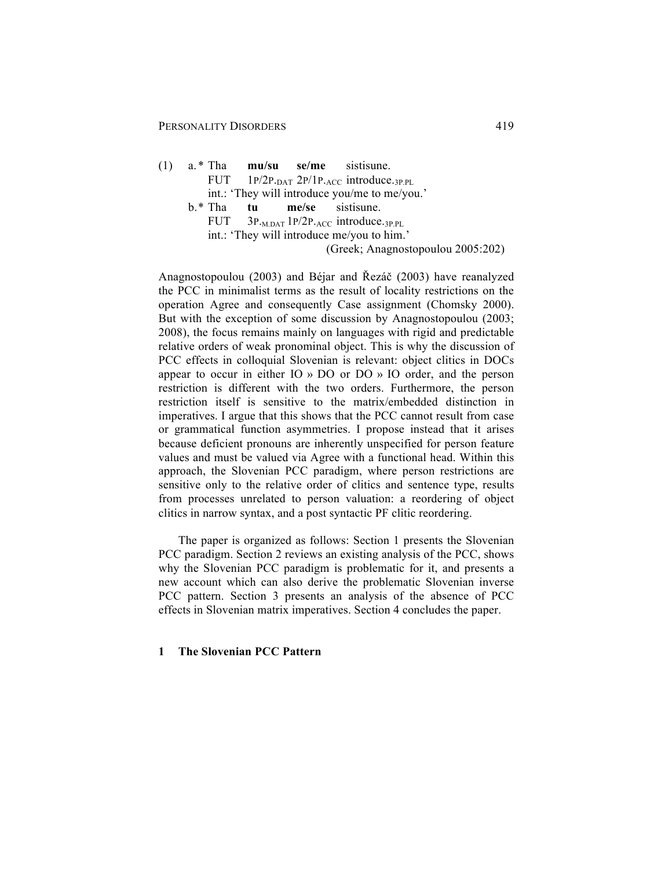| (1) |                                               |  |  | a. * Tha <b>mu/su se/me</b> sistisune.                                   |  |  |  |  |  |  |
|-----|-----------------------------------------------|--|--|--------------------------------------------------------------------------|--|--|--|--|--|--|
|     | <b>FUT</b>                                    |  |  | $1P/2PDAT 2P/1PACC introduce3PPL$                                        |  |  |  |  |  |  |
|     | int.: 'They will introduce you/me to me/you.' |  |  |                                                                          |  |  |  |  |  |  |
|     |                                               |  |  | $b.*$ Tha <b>tu me/se</b> sistisune.                                     |  |  |  |  |  |  |
|     |                                               |  |  | FUT $3P_{\text{.M.DAT}} 1P/2P_{\text{.ACC}}$ introduce. <sub>3P.PL</sub> |  |  |  |  |  |  |
|     | int.: 'They will introduce me/you to him.'    |  |  |                                                                          |  |  |  |  |  |  |
|     |                                               |  |  | (Greek; Anagnostopoulou 2005:202)                                        |  |  |  |  |  |  |
|     |                                               |  |  |                                                                          |  |  |  |  |  |  |

Anagnostopoulou (2003) and Béjar and Řezáč (2003) have reanalyzed the PCC in minimalist terms as the result of locality restrictions on the operation Agree and consequently Case assignment (Chomsky 2000). But with the exception of some discussion by Anagnostopoulou (2003; 2008), the focus remains mainly on languages with rigid and predictable relative orders of weak pronominal object. This is why the discussion of PCC effects in colloquial Slovenian is relevant: object clitics in DOCs appear to occur in either IO » DO or DO » IO order, and the person restriction is different with the two orders. Furthermore, the person restriction itself is sensitive to the matrix/embedded distinction in imperatives. I argue that this shows that the PCC cannot result from case or grammatical function asymmetries. I propose instead that it arises because deficient pronouns are inherently unspecified for person feature values and must be valued via Agree with a functional head. Within this approach, the Slovenian PCC paradigm, where person restrictions are sensitive only to the relative order of clitics and sentence type, results from processes unrelated to person valuation: a reordering of object clitics in narrow syntax, and a post syntactic PF clitic reordering.

The paper is organized as follows: Section 1 presents the Slovenian PCC paradigm. Section 2 reviews an existing analysis of the PCC, shows why the Slovenian PCC paradigm is problematic for it, and presents a new account which can also derive the problematic Slovenian inverse PCC pattern. Section 3 presents an analysis of the absence of PCC effects in Slovenian matrix imperatives. Section 4 concludes the paper.

## **1 The Slovenian PCC Pattern**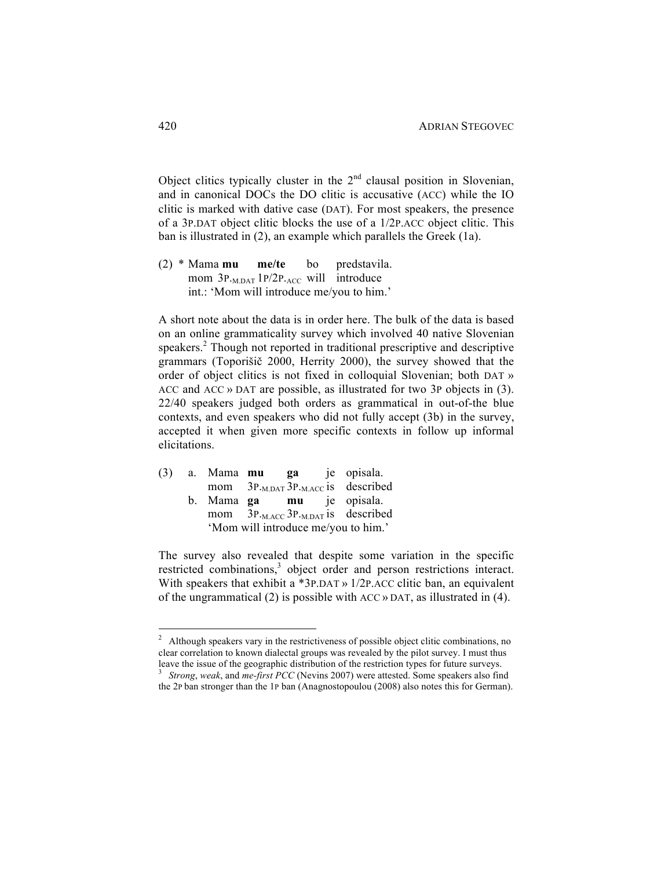Object clitics typically cluster in the  $2<sup>nd</sup>$  clausal position in Slovenian, and in canonical DOCs the DO clitic is accusative (ACC) while the IO clitic is marked with dative case (DAT). For most speakers, the presence of a 3P.DAT object clitic blocks the use of a 1/2P.ACC object clitic. This ban is illustrated in (2), an example which parallels the Greek (1a).

(2) \* Mama **mu me/te** bo predstavila. mom  $3P_{\text{MDAT}} 1P/2P_{\text{ACC}}$  will introduce int.: 'Mom will introduce me/you to him.'

A short note about the data is in order here. The bulk of the data is based on an online grammaticality survey which involved 40 native Slovenian speakers.<sup>2</sup> Though not reported in traditional prescriptive and descriptive grammars (Toporišič 2000, Herrity 2000), the survey showed that the order of object clitics is not fixed in colloquial Slovenian; both DAT » ACC and ACC » DAT are possible, as illustrated for two 3P objects in (3). 22/40 speakers judged both orders as grammatical in out-of-the blue contexts, and even speakers who did not fully accept (3b) in the survey, accepted it when given more specific contexts in follow up informal elicitations.

|  |  |  | $(3)$ a. Mama mu ga je opisala.     |
|--|--|--|-------------------------------------|
|  |  |  | mom 3P.M.DAT 3P.M.ACC is described  |
|  |  |  | b. Mama <b>ga mu</b> je opisala.    |
|  |  |  | mom 3P.M.ACC 3P.M.DAT is described  |
|  |  |  | 'Mom will introduce me/you to him.' |

The survey also revealed that despite some variation in the specific restricted combinations,<sup>3</sup> object order and person restrictions interact. With speakers that exhibit a \*3P.DAT » 1/2P.ACC clitic ban, an equivalent of the ungrammatical (2) is possible with ACC » DAT, as illustrated in (4).

<sup>&</sup>lt;sup>2</sup> Although speakers vary in the restrictiveness of possible object clitic combinations, no clear correlation to known dialectal groups was revealed by the pilot survey. I must thus leave the issue of the geographic distribution of the restriction types for future surveys. *Strong, weak, and me-first PCC* (Nevins 2007) were attested. Some speakers also find

the 2P ban stronger than the 1P ban (Anagnostopoulou (2008) also notes this for German).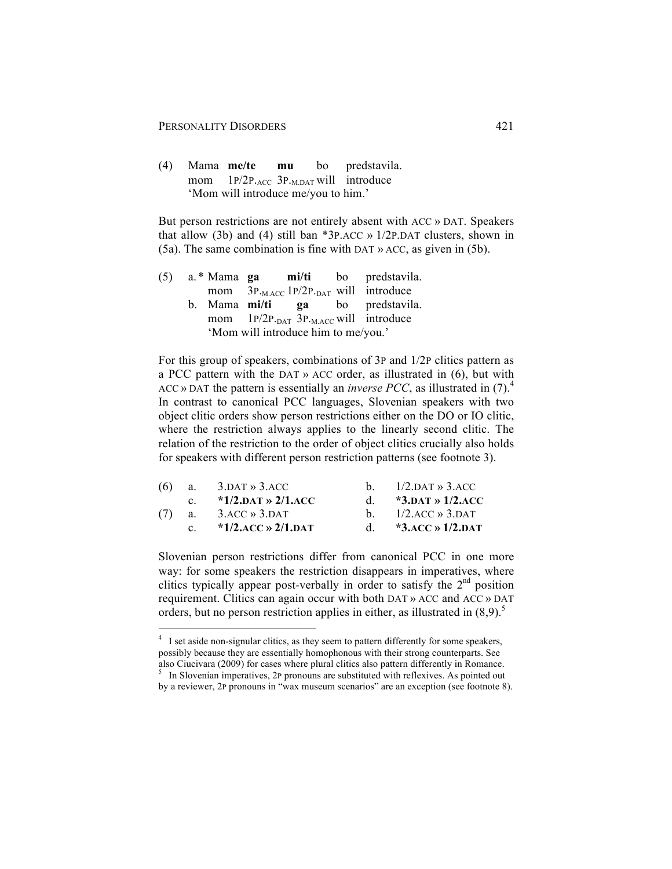(4) Mama **me/te mu** bo predstavila. mom 1P/2P.ACC 3P.M.DAT will introduce 'Mom will introduce me/you to him.'

But person restrictions are not entirely absent with ACC » DAT. Speakers that allow (3b) and (4) still ban \*3P.ACC  $\gg$  1/2P.DAT clusters, shown in (5a). The same combination is fine with DAT » ACC, as given in (5b).

|  |  |                                     | $(5)$ a. * Mama ga mi/ti bo predstavila.                   |
|--|--|-------------------------------------|------------------------------------------------------------|
|  |  |                                     | mom $3P_{\text{M ACC}} 1P/2P_{\text{DAT}}$ will introduce  |
|  |  |                                     | b. Mama mi/ti <b>ga</b> bo predstavila.                    |
|  |  |                                     | mom $1P/2P_{\text{.DATA}} 3P_{\text{.MAC}}$ will introduce |
|  |  | 'Mom will introduce him to me/you.' |                                                            |

For this group of speakers, combinations of 3P and 1/2P clitics pattern as a PCC pattern with the DAT » ACC order, as illustrated in (6), but with ACC » DAT the pattern is essentially an *inverse PCC*, as illustrated in  $(7)^4$ In contrast to canonical PCC languages, Slovenian speakers with two object clitic orders show person restrictions either on the DO or IO clitic, where the restriction always applies to the linearly second clitic. The relation of the restriction to the order of object clitics crucially also holds for speakers with different person restriction patterns (see footnote 3).

|              | (6) a. $3.$ DAT $\rightarrow$ 3.ACC | b. $1/2$ . DAT $\rightarrow$ 3. ACC |
|--------------|-------------------------------------|-------------------------------------|
|              | c. $*1/2$ , DAT » 2/1, ACC          | d. *3.DAT » $1/2$ .ACC              |
|              | $(7)$ a. 3.ACC $\gg$ 3.DAT          | b. $1/2$ ACC $\rightarrow$ 3.DAT    |
| $\mathbf{c}$ | *1/2.ACC $\gg$ 2/1.DAT              | d. $*3.4CC \rightarrow 1/2.$ DAT    |

Slovenian person restrictions differ from canonical PCC in one more way: for some speakers the restriction disappears in imperatives, where clitics typically appear post-verbally in order to satisfy the  $2<sup>nd</sup>$  position requirement. Clitics can again occur with both DAT » ACC and ACC » DAT orders, but no person restriction applies in either, as illustrated in  $(8,9)$ .<sup>5</sup>

<sup>&</sup>lt;sup>4</sup> I set aside non-signular clitics, as they seem to pattern differently for some speakers, possibly because they are essentially homophonous with their strong counterparts. See also Ciucivara (2009) for cases where plural clitics also pattern differently in Romance.  $5$  In Slovenian imperatives, 2P pronouns are substituted with reflexives. As pointed out

by a reviewer, 2P pronouns in "wax museum scenarios" are an exception (see footnote 8).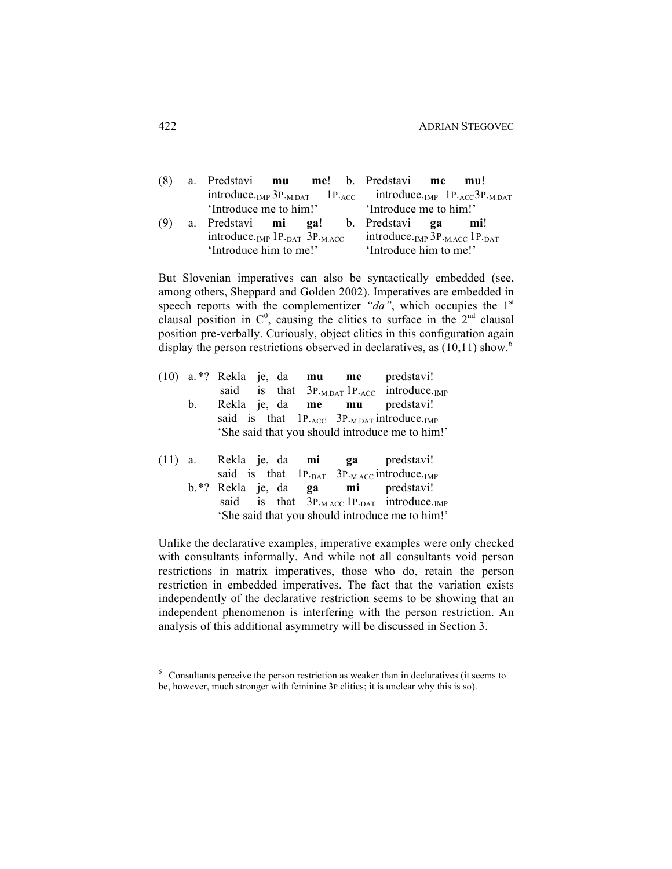# 422 ADRIAN STEGOVEC

| (8) | a. Predstavi mu me! b. Predstavi me mu!                             |                                                                                                                                   |
|-----|---------------------------------------------------------------------|-----------------------------------------------------------------------------------------------------------------------------------|
|     |                                                                     | introduce. <sub>IMP</sub> $3P_{\text{.MDAT}}$ 1P. <sub>ACC</sub> introduce. <sub>IMP</sub> 1P. <sub>ACC</sub> $3P_{\text{.MDAT}}$ |
|     | 'Introduce me to him!' The 'Introduce me to him!'                   |                                                                                                                                   |
| (9) | a. Predstavi mi ga! b. Predstavi ga                                 | mi!                                                                                                                               |
|     | introduce. <sub>IMP</sub> $1P$ <sub>DAT</sub> $3P$ <sub>-MACC</sub> | introduce. <sub>IMP</sub> $3P$ . <sub>M.ACC</sub> 1P. <sub>DAT</sub>                                                              |
|     | 'Introduce him to me!'                                              | 'Introduce him to me!'                                                                                                            |

But Slovenian imperatives can also be syntactically embedded (see, among others, Sheppard and Golden 2002). Imperatives are embedded in speech reports with the complementizer " $da^{\gamma}$ , which occupies the 1<sup>st</sup> clausal position in  $C^0$ , causing the clitics to surface in the  $2^{nd}$  clausal position pre-verbally. Curiously, object clitics in this configuration again display the person restrictions observed in declaratives, as  $(10,11)$  show.<sup>6</sup>

|  |  |  | $(10)$ a.*? Rekla je, da mu me predstavi!                                                                   |
|--|--|--|-------------------------------------------------------------------------------------------------------------|
|  |  |  | said is that $3P_{\text{MDAT}} 1P_{\text{ACC}}$ introduce. <sub>IMP</sub>                                   |
|  |  |  | b. Rekla je, da me mu predstavi!                                                                            |
|  |  |  | said is that $1P_{\text{ACC}}$ 3P.m. part introduce. IMP<br>'She said that you should introduce me to him!' |
|  |  |  | $(11)$ a. Rekla je, da <b>mi ga</b> predstavi!                                                              |

said is that 1P. DAT 3P.M.ACC introduce. IMP b.\*? Rekla je, da **ga mi** predstavi! said is that  $3P_{\text{MACC}} 1P_{\text{DAT}}$  introduce.<sub>IMP</sub> 'She said that you should introduce me to him!'

Unlike the declarative examples, imperative examples were only checked with consultants informally. And while not all consultants void person restrictions in matrix imperatives, those who do, retain the person restriction in embedded imperatives. The fact that the variation exists independently of the declarative restriction seems to be showing that an independent phenomenon is interfering with the person restriction. An analysis of this additional asymmetry will be discussed in Section 3.

 <sup>6</sup> Consultants perceive the person restriction as weaker than in declaratives (it seems to be, however, much stronger with feminine 3P clitics; it is unclear why this is so).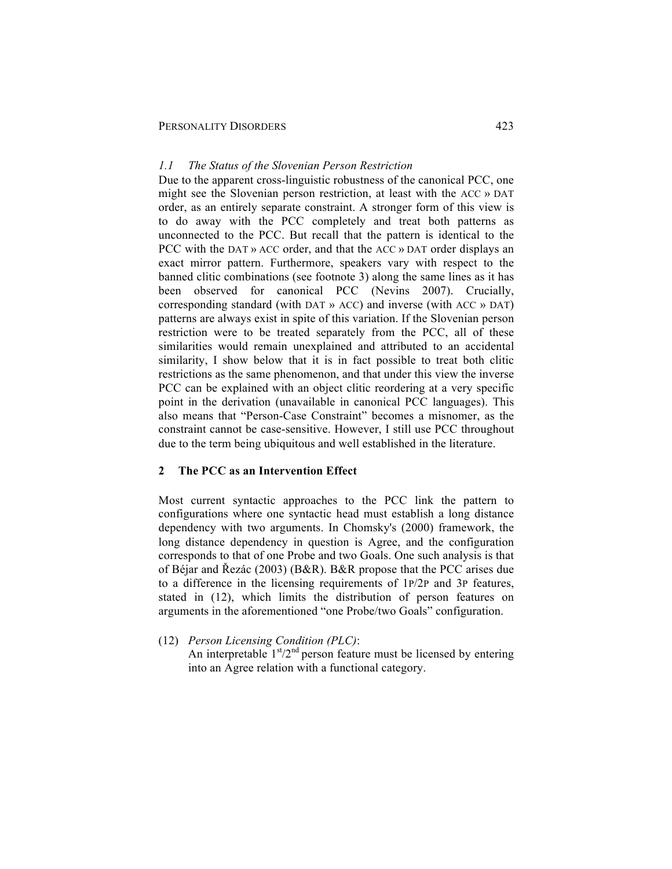# *1.1 The Status of the Slovenian Person Restriction*

Due to the apparent cross-linguistic robustness of the canonical PCC, one might see the Slovenian person restriction, at least with the ACC » DAT order, as an entirely separate constraint. A stronger form of this view is to do away with the PCC completely and treat both patterns as unconnected to the PCC. But recall that the pattern is identical to the PCC with the DAT » ACC order, and that the ACC » DAT order displays an exact mirror pattern. Furthermore, speakers vary with respect to the banned clitic combinations (see footnote 3) along the same lines as it has been observed for canonical PCC (Nevins 2007). Crucially, corresponding standard (with DAT » ACC) and inverse (with ACC » DAT) patterns are always exist in spite of this variation. If the Slovenian person restriction were to be treated separately from the PCC, all of these similarities would remain unexplained and attributed to an accidental similarity, I show below that it is in fact possible to treat both clitic restrictions as the same phenomenon, and that under this view the inverse PCC can be explained with an object clitic reordering at a very specific point in the derivation (unavailable in canonical PCC languages). This also means that "Person-Case Constraint" becomes a misnomer, as the constraint cannot be case-sensitive. However, I still use PCC throughout due to the term being ubiquitous and well established in the literature.

# **2 The PCC as an Intervention Effect**

Most current syntactic approaches to the PCC link the pattern to configurations where one syntactic head must establish a long distance dependency with two arguments. In Chomsky's (2000) framework, the long distance dependency in question is Agree, and the configuration corresponds to that of one Probe and two Goals. One such analysis is that of Béjar and Řezác (2003) (B&R). B&R propose that the PCC arises due to a difference in the licensing requirements of 1P/2P and 3P features, stated in (12), which limits the distribution of person features on arguments in the aforementioned "one Probe/two Goals" configuration.

(12) *Person Licensing Condition (PLC)*:

An interpretable  $1<sup>st</sup>/2<sup>nd</sup>$  person feature must be licensed by entering into an Agree relation with a functional category.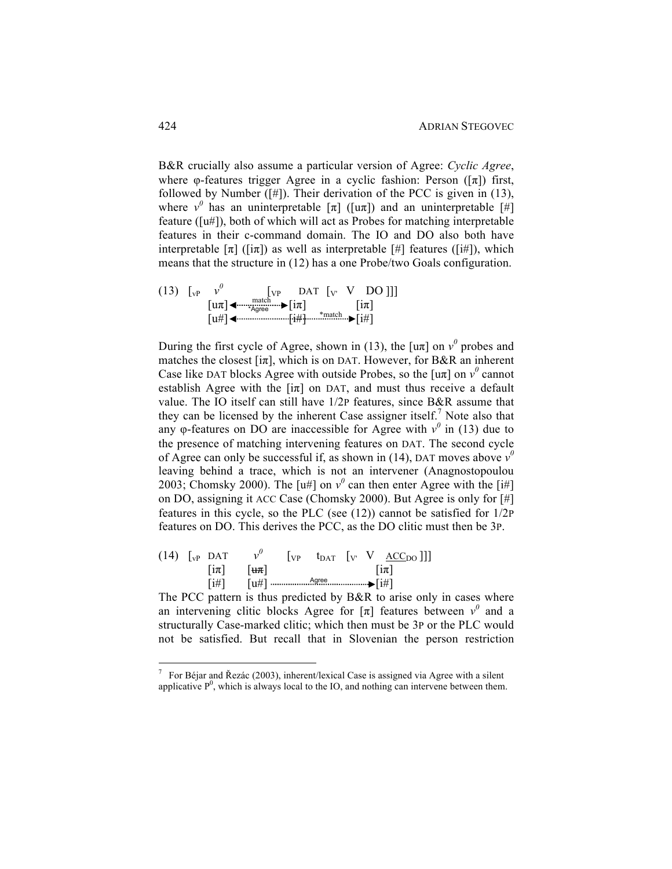B&R crucially also assume a particular version of Agree: *Cyclic Agree*, where φ-features trigger Agree in a cyclic fashion: Person ( $\lceil \pi \rceil$ ) first, followed by Number  $(f#)$ . Their derivation of the PCC is given in (13), where  $v^0$  has an uninterpretable  $[\pi]$  ( $[\pi]$ ) and an uninterpretable  $[\#]$ feature ([u#]), both of which will act as Probes for matching interpretable features in their c-command domain. The IO and DO also both have interpretable  $\lceil \pi \rceil$  ( $\lceil \pi \rceil$ ) as well as interpretable  $\lceil \# \rceil$  features ( $\lceil \pi \rceil$ ), which means that the structure in (12) has a one Probe/two Goals configuration.

(13) 
$$
\begin{bmatrix} v^{\rho} & v^{\sigma} & [v^{\rho} \quad \text{DAT} [v^{\rho} \quad \text{VO}]] \end{bmatrix}
$$

$$
\begin{bmatrix} u\pi \end{bmatrix} \begin{bmatrix} \text{num, model} \\ \text{num, model} \end{bmatrix} \begin{bmatrix} i\pi \end{bmatrix} \begin{bmatrix} i\pi \end{bmatrix}
$$

$$
\begin{bmatrix} u\# \end{bmatrix} \begin{bmatrix} \text{num, model} \\ \text{num, model} \end{bmatrix}
$$

During the first cycle of Agree, shown in (13), the  $\left[\frac{u\pi}{\sigma}\right]$  on  $v^0$  probes and matches the closest  $[i\pi]$ , which is on DAT. However, for B&R an inherent Case like DAT blocks Agree with outside Probes, so the  $\left[\frac{u\pi}{\sigma}\right]$  on  $v^0$  cannot establish Agree with the  $[i\pi]$  on DAT, and must thus receive a default value. The IO itself can still have 1/2P features, since B&R assume that they can be licensed by the inherent Case assigner itself.<sup>7</sup> Note also that any  $\varphi$ -features on DO are inaccessible for Agree with  $v^0$  in (13) due to the presence of matching intervening features on DAT. The second cycle of Agree can only be successful if, as shown in (14), DAT moves above  $v^0$ leaving behind a trace, which is not an intervener (Anagnostopoulou 2003; Chomsky 2000). The  $\left[\mu\text{H}\right]$  on  $v^0$  can then enter Agree with the  $\left[\text{i}\text{H}\right]$ on DO, assigning it ACC Case (Chomsky 2000). But Agree is only for [#] features in this cycle, so the PLC (see (12)) cannot be satisfied for 1/2P features on DO. This derives the PCC, as the DO clitic must then be 3P.

(14) [vP DAT *v <sup>0</sup>* [VP tDAT [V' V ACCDO ]]] [iπ] [uπ] [iπ] [i#] [u#] [i#] Agree

The PCC pattern is thus predicted by B&R to arise only in cases where an intervening clitic blocks Agree for  $[\pi]$  features between  $v^0$  and a structurally Case-marked clitic; which then must be 3P or the PLC would not be satisfied. But recall that in Slovenian the person restriction

<sup>&</sup>lt;sup>7</sup> For Béjar and Řezác (2003), inherent/lexical Case is assigned via Agree with a silent applicative  $P^0$ , which is always local to the IO, and nothing can intervene between them.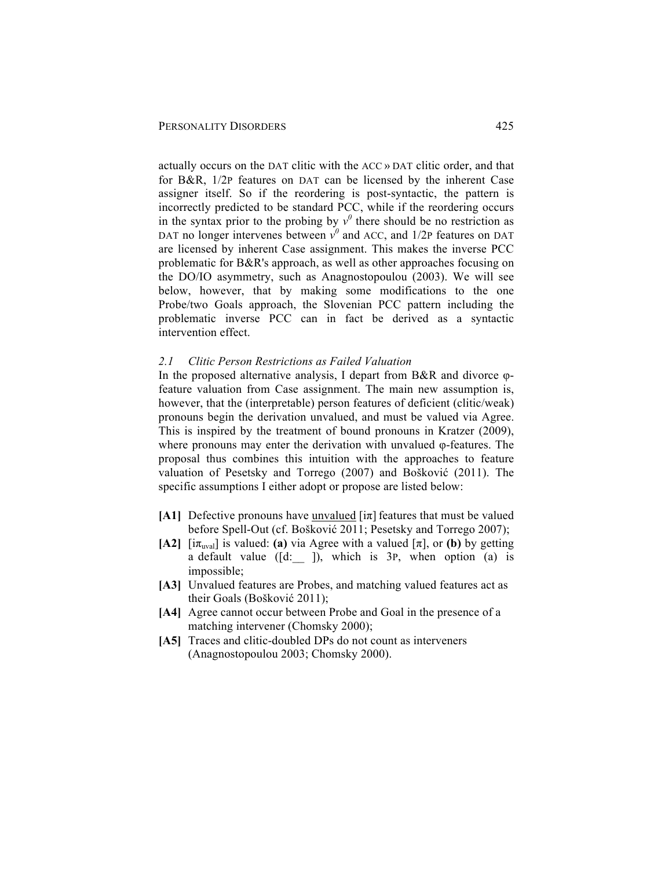actually occurs on the DAT clitic with the ACC » DAT clitic order, and that for B&R, 1/2P features on DAT can be licensed by the inherent Case assigner itself. So if the reordering is post-syntactic, the pattern is incorrectly predicted to be standard PCC, while if the reordering occurs in the syntax prior to the probing by  $v^0$  there should be no restriction as DAT no longer intervenes between  $v^0$  and ACC, and 1/2P features on DAT are licensed by inherent Case assignment. This makes the inverse PCC problematic for B&R's approach, as well as other approaches focusing on the DO/IO asymmetry, such as Anagnostopoulou (2003). We will see below, however, that by making some modifications to the one Probe/two Goals approach, the Slovenian PCC pattern including the problematic inverse PCC can in fact be derived as a syntactic intervention effect.

#### *2.1 Clitic Person Restrictions as Failed Valuation*

In the proposed alternative analysis, I depart from B&R and divorce φfeature valuation from Case assignment. The main new assumption is, however, that the (interpretable) person features of deficient (clitic/weak) pronouns begin the derivation unvalued, and must be valued via Agree. This is inspired by the treatment of bound pronouns in Kratzer (2009), where pronouns may enter the derivation with unvalued φ-features. The proposal thus combines this intuition with the approaches to feature valuation of Pesetsky and Torrego (2007) and Bošković (2011). The specific assumptions I either adopt or propose are listed below:

- **[A1]** Defective pronouns have unvalued  $[i\pi]$  features that must be valued before Spell-Out (cf. Bošković 2011; Pesetsky and Torrego 2007);
- **[A2]**  $[\text{if } \pi_{\text{uval}}]$  is valued: (a) via Agree with a valued  $[\pi]$ , or (b) by getting a default value  $([d:$  ]), which is 3P, when option (a) is impossible;
- **[A3]** Unvalued features are Probes, and matching valued features act as their Goals (Bošković 2011);
- **[A4]** Agree cannot occur between Probe and Goal in the presence of a matching intervener (Chomsky 2000);
- **[A5]** Traces and clitic-doubled DPs do not count as interveners (Anagnostopoulou 2003; Chomsky 2000).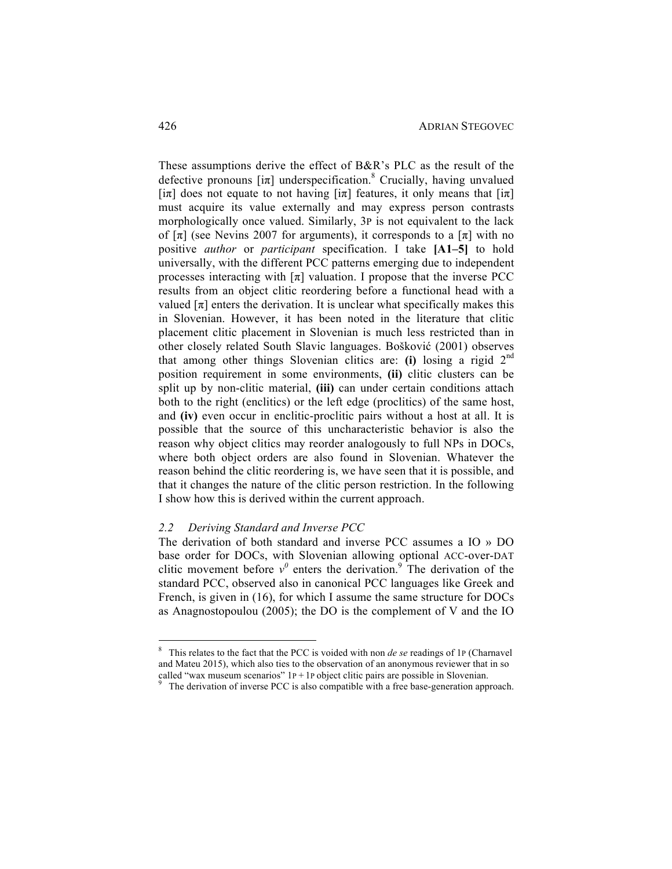These assumptions derive the effect of B&R's PLC as the result of the defective pronouns  $[\mathrm{i}\pi]$  underspecification.<sup>8</sup> Crucially, having unvalued [i $\pi$ ] does not equate to not having [i $\pi$ ] features, it only means that [i $\pi$ ] must acquire its value externally and may express person contrasts morphologically once valued. Similarly, 3P is not equivalent to the lack of  $[\pi]$  (see Nevins 2007 for arguments), it corresponds to a  $[\pi]$  with no positive *author* or *participant* specification. I take **[A1–5]** to hold universally, with the different PCC patterns emerging due to independent processes interacting with  $[\pi]$  valuation. I propose that the inverse PCC results from an object clitic reordering before a functional head with a valued  $[\pi]$  enters the derivation. It is unclear what specifically makes this in Slovenian. However, it has been noted in the literature that clitic placement clitic placement in Slovenian is much less restricted than in other closely related South Slavic languages. Bošković (2001) observes that among other things Slovenian clitics are: **(i)** losing a rigid  $2<sup>nd</sup>$ position requirement in some environments, **(ii)** clitic clusters can be split up by non-clitic material, **(iii)** can under certain conditions attach both to the right (enclitics) or the left edge (proclitics) of the same host, and **(iv)** even occur in enclitic-proclitic pairs without a host at all. It is possible that the source of this uncharacteristic behavior is also the reason why object clitics may reorder analogously to full NPs in DOCs, where both object orders are also found in Slovenian. Whatever the reason behind the clitic reordering is, we have seen that it is possible, and that it changes the nature of the clitic person restriction. In the following I show how this is derived within the current approach.

### *2.2 Deriving Standard and Inverse PCC*

The derivation of both standard and inverse PCC assumes a IO » DO base order for DOCs, with Slovenian allowing optional ACC-over-DAT clitic movement before  $v^0$  enters the derivation.<sup>9</sup> The derivation of the standard PCC, observed also in canonical PCC languages like Greek and French, is given in (16), for which I assume the same structure for DOCs as Anagnostopoulou (2005); the DO is the complement of V and the IO

 <sup>8</sup> This relates to the fact that the PCC is voided with non *de se* readings of 1P (Charnavel and Mateu 2015), which also ties to the observation of an anonymous reviewer that in so called "wax museum scenarios"  $1P + 1P$  object clitic pairs are possible in Slovenian.

 $^9$  The derivation of inverse PCC is also compatible with a free base-generation approach.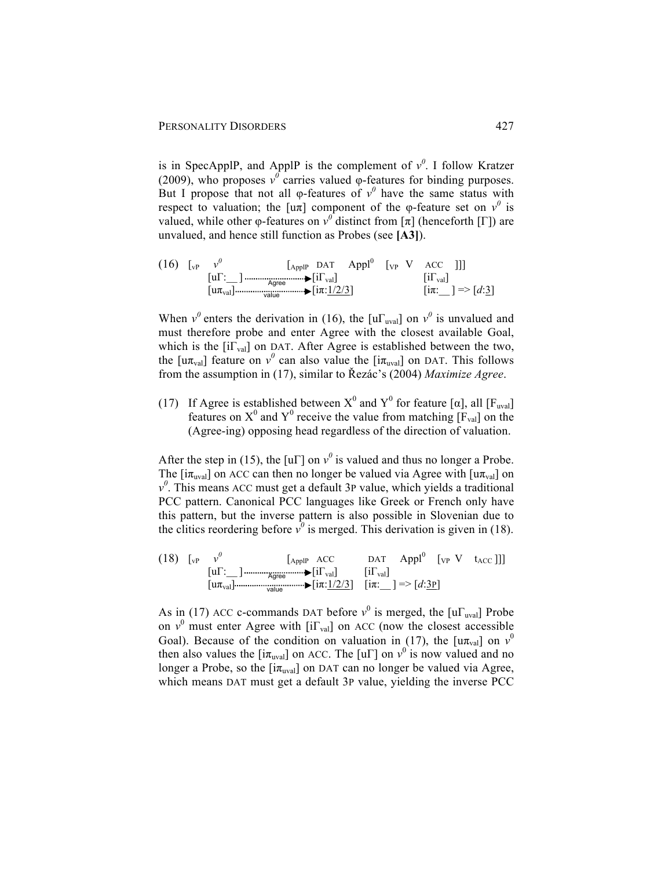is in SpecApplP, and ApplP is the complement of  $v^0$ . I follow Kratzer (2009), who proposes  $v^0$  carries valued  $\varphi$ -features for binding purposes. But I propose that not all  $\varphi$ -features of  $v^0$  have the same status with respect to valuation; the  $\lceil \ln \pi \rceil$  component of the  $\varphi$ -feature set on  $v^0$  is valued, while other φ-features on  $v^0$  distinct from [π] (henceforth [Γ]) are unvalued, and hence still function as Probes (see **[A3]**).

(16) 
$$
\begin{bmatrix} v^{\rho} & \begin{bmatrix} \Delta p p \end{bmatrix}^p & \Delta T & \Delta p p l^0 & \begin{bmatrix} v^{\rho} & V & \Delta C C \end{bmatrix} \end{bmatrix}
$$
  
\n $\begin{bmatrix} u \overline{L} : \underline{L} \end{bmatrix}$ ........  
\n $\begin{bmatrix} \frac{\Delta q p}{\Delta q} & \begin{bmatrix} \frac{\Delta q}{\Delta q} & \frac{\Delta q}{\Delta q} \end{bmatrix} \end{bmatrix}$   
\n $\begin{bmatrix} \frac{\Delta q}{\Delta q} & \begin{bmatrix} \frac{\Delta q}{\Delta q} & \frac{\Delta q}{\Delta q} \end{bmatrix} \end{bmatrix}$   
\n $\begin{bmatrix} \frac{\Delta q}{\Delta q} \end{bmatrix}$ 

When  $v^0$  enters the derivation in (16), the [u $\Gamma_{\text{uval}}$ ] on  $v^0$  is unvalued and must therefore probe and enter Agree with the closest available Goal, which is the  $[i]_{val}$  on DAT. After Agree is established between the two, the [ $u\pi_{val}$ ] feature on  $v^0$  can also value the [ $i\pi_{uval}$ ] on DAT. This follows from the assumption in (17), similar to Řezác's (2004) *Maximize Agree*.

(17) If Agree is established between  $X^0$  and  $Y^0$  for feature [ $\alpha$ ], all [ $F_{\text{uval}}$ ] features on  $X^0$  and  $Y^0$  receive the value from matching  $[F_{val}]$  on the (Agree-ing) opposing head regardless of the direction of valuation.

After the step in (15), the [u $\Gamma$ ] on  $v^0$  is valued and thus no longer a Probe. The [ $i\pi_{\text{uval}}$ ] on ACC can then no longer be valued via Agree with [ $i\pi_{\text{val}}$ ] on  $v^0$ . This means ACC must get a default 3P value, which yields a traditional PCC pattern. Canonical PCC languages like Greek or French only have this pattern, but the inverse pattern is also possible in Slovenian due to the clitics reordering before  $v^0$  is merged. This derivation is given in (18).

 $(18)$   $\begin{bmatrix} \n\sqrt{p} & \nu^0 \n\end{bmatrix}$   $\begin{bmatrix} \n\Delta p \nu \n\end{bmatrix}$  ACC  $\begin{bmatrix} \n\Delta p \nu \n\end{bmatrix}$   $\begin{bmatrix} \n\Delta p \nu \n\end{bmatrix}$   $\begin{bmatrix} \n\sqrt{p} & \nu \n\end{bmatrix}$  $[u\Gamma:$  ]  $\ldots$   $\ldots$   $\ldots$   $\ldots$   $\ldots$   $\ldots$   $\ldots$   $\ldots$   $\ldots$   $\ldots$   $\ldots$   $\ldots$  $\begin{bmatrix} \mathfrak{u} & \cdots & \mathfrak{u} \end{bmatrix}$  [in val]<br>  $\begin{bmatrix} \mathfrak{u} \pi_{\text{val}} \end{bmatrix}$   $\cdots$   $\begin{bmatrix} \mathfrak{u} \pi_{\text{val}} \end{bmatrix}$   $\cdots$   $\begin{bmatrix} \mathfrak{u} \pi_{\text{val}} \end{bmatrix}$   $\cdots$   $\begin{bmatrix} \mathfrak{u} \pi_{\text{val}} \end{bmatrix}$   $\cdots$   $\begin{bmatrix} \mathfrak{u} \pi_{\text{val}} \end{bmatrix}$   $\cd$ value

As in (17) ACC c-commands DAT before  $v^0$  is merged, the [u $\Gamma_{\text{uval}}$ ] Probe on  $v^0$  must enter Agree with [i $\Gamma_{\text{val}}$ ] on ACC (now the closest accessible Goal). Because of the condition on valuation in (17), the [ $u\pi_{val}$ ] on  $v^0$ then also values the [ $i\pi_{\text{uval}}$ ] on ACC. The [uΓ] on  $v^0$  is now valued and no longer a Probe, so the  $[i\pi_{\text{uval}}]$  on DAT can no longer be valued via Agree, which means DAT must get a default 3P value, yielding the inverse PCC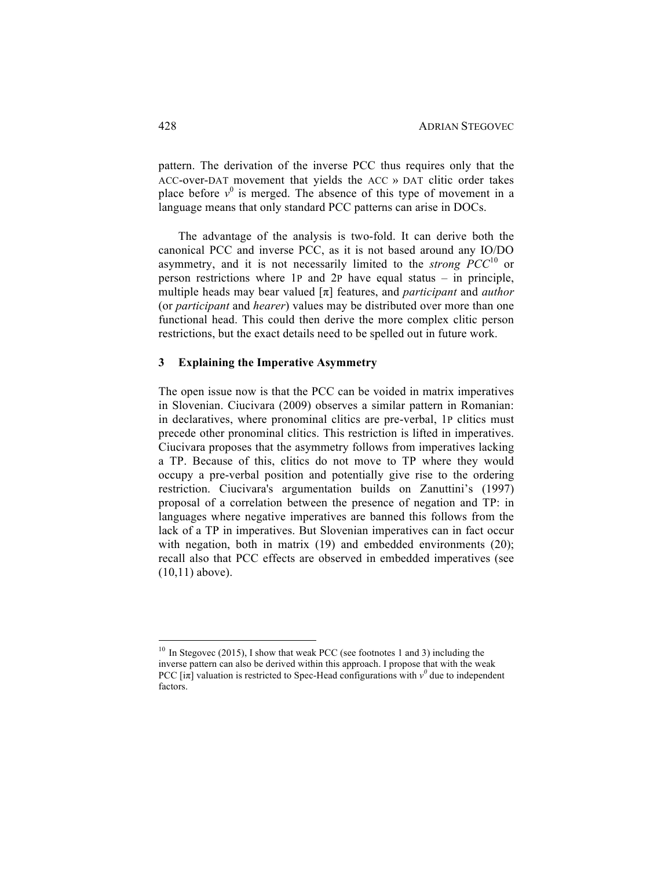pattern. The derivation of the inverse PCC thus requires only that the ACC-over-DAT movement that yields the ACC » DAT clitic order takes place before  $v^0$  is merged. The absence of this type of movement in a language means that only standard PCC patterns can arise in DOCs.

The advantage of the analysis is two-fold. It can derive both the canonical PCC and inverse PCC, as it is not based around any IO/DO asymmetry, and it is not necessarily limited to the *strong PCC*<sup>10</sup> or person restrictions where 1P and 2P have equal status – in principle, multiple heads may bear valued [π] features, and *participant* and *author* (or *participant* and *hearer*) values may be distributed over more than one functional head. This could then derive the more complex clitic person restrictions, but the exact details need to be spelled out in future work.

#### **3 Explaining the Imperative Asymmetry**

The open issue now is that the PCC can be voided in matrix imperatives in Slovenian. Ciucivara (2009) observes a similar pattern in Romanian: in declaratives, where pronominal clitics are pre-verbal, 1P clitics must precede other pronominal clitics. This restriction is lifted in imperatives. Ciucivara proposes that the asymmetry follows from imperatives lacking a TP. Because of this, clitics do not move to TP where they would occupy a pre-verbal position and potentially give rise to the ordering restriction. Ciucivara's argumentation builds on Zanuttini's (1997) proposal of a correlation between the presence of negation and TP: in languages where negative imperatives are banned this follows from the lack of a TP in imperatives. But Slovenian imperatives can in fact occur with negation, both in matrix (19) and embedded environments (20); recall also that PCC effects are observed in embedded imperatives (see (10,11) above).

 $10$  In Stegovec (2015), I show that weak PCC (see footnotes 1 and 3) including the inverse pattern can also be derived within this approach. I propose that with the weak PCC  $[\pi]$  valuation is restricted to Spec-Head configurations with  $v^0$  due to independent factors.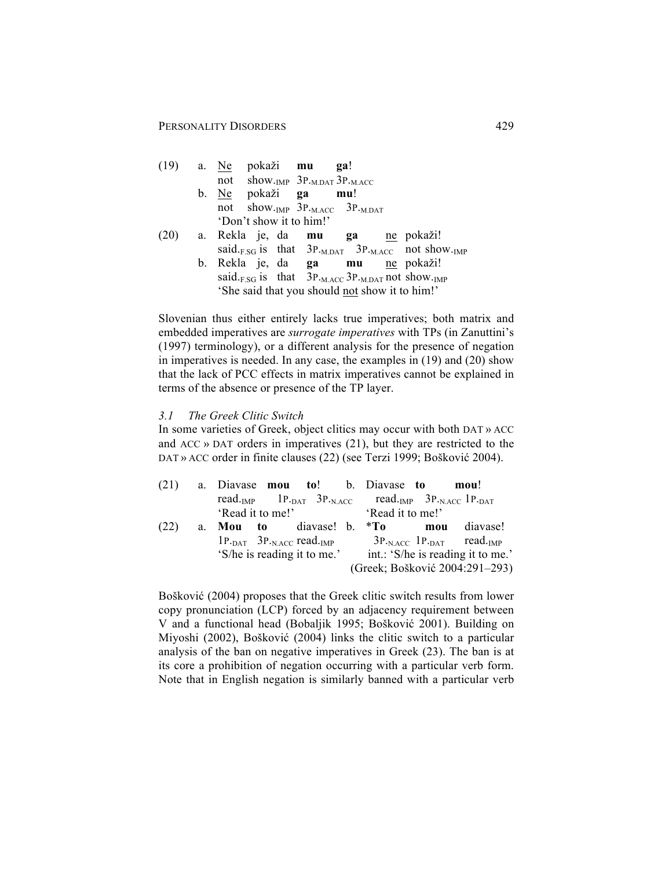|  |  | $(19)$ a. Ne pokaži mu ga! |                                                                      |                                                                                                  |
|--|--|----------------------------|----------------------------------------------------------------------|--------------------------------------------------------------------------------------------------|
|  |  |                            | not show. <sub>IMP</sub> $3P$ <sub>M.DAT</sub> $3P$ <sub>M.ACC</sub> |                                                                                                  |
|  |  | b. Ne pokaži ga mu!        |                                                                      |                                                                                                  |
|  |  |                            | not show. <sub>IMP</sub> 3P. <sub>M.ACC</sub> 3P. <sub>M.DAT</sub>   |                                                                                                  |
|  |  | 'Don't show it to him!'    |                                                                      |                                                                                                  |
|  |  |                            |                                                                      | (20) a. Rekla je, da <b>mu ga</b> ne pokaži!                                                     |
|  |  |                            |                                                                      | said. <sub>F.SG</sub> is that $3P_{\text{.M.DAT}}$ $3P_{\text{.M.ACC}}$ not show. <sub>IMP</sub> |
|  |  |                            |                                                                      | b. Rekla je, da ga mu ne pokaži!                                                                 |
|  |  |                            |                                                                      | said. $F_{.SG}$ is that $3P_{.MACC}3P_{.M.DAT}$ not show. IMP                                    |
|  |  |                            | 'She said that you should not show it to him!'                       |                                                                                                  |

Slovenian thus either entirely lacks true imperatives; both matrix and embedded imperatives are *surrogate imperatives* with TPs (in Zanuttini's (1997) terminology), or a different analysis for the presence of negation in imperatives is needed. In any case, the examples in (19) and (20) show that the lack of PCC effects in matrix imperatives cannot be explained in terms of the absence or presence of the TP layer.

# *3.1 The Greek Clitic Switch*

In some varieties of Greek, object clitics may occur with both DAT » ACC and ACC » DAT orders in imperatives (21), but they are restricted to the DAT » ACC order in finite clauses (22) (see Terzi 1999; Bošković 2004).

|      |  |                                                   | $(21)$ a. Diavase <b>mou</b> to! b. Diavase to                                                                            | mou!                                                       |
|------|--|---------------------------------------------------|---------------------------------------------------------------------------------------------------------------------------|------------------------------------------------------------|
|      |  |                                                   | read. <sub>IMP</sub> 1P. <sub>DAT</sub> 3P. <sub>N.ACC</sub> read. <sub>IMP</sub> 3P. <sub>N.ACC</sub> 1P. <sub>DAT</sub> |                                                            |
|      |  |                                                   | 'Read it to me!' Read it to me!'                                                                                          |                                                            |
| (22) |  |                                                   |                                                                                                                           | a. Mou to diavase! b. *To mou diavase!                     |
|      |  | $1PDAT$ 3P. <sub>N.ACC</sub> read. <sub>IMP</sub> |                                                                                                                           | $3P_{\text{NACC}}$ 1P. <sub>DAT</sub> read. <sub>IMP</sub> |
|      |  | 'S/he is reading it to me.'                       |                                                                                                                           | int.: 'S/he is reading it to me.'                          |
|      |  |                                                   |                                                                                                                           | (Greek; Bošković 2004:291-293)                             |

Bošković (2004) proposes that the Greek clitic switch results from lower copy pronunciation (LCP) forced by an adjacency requirement between V and a functional head (Bobaljik 1995; Bošković 2001). Building on Miyoshi (2002), Bošković (2004) links the clitic switch to a particular analysis of the ban on negative imperatives in Greek (23). The ban is at its core a prohibition of negation occurring with a particular verb form. Note that in English negation is similarly banned with a particular verb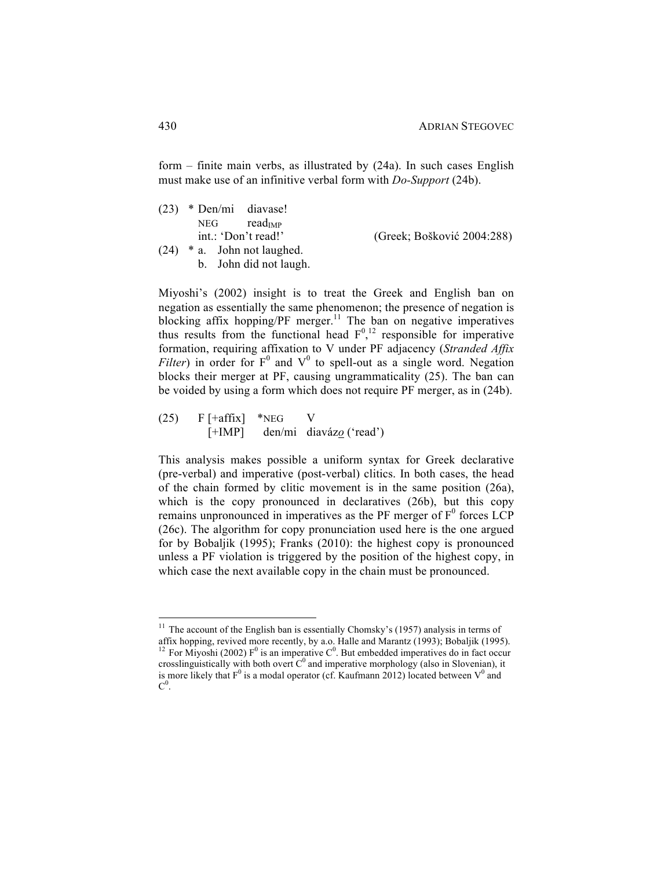form – finite main verbs, as illustrated by (24a). In such cases English must make use of an infinitive verbal form with *Do-Support* (24b).

| $(23)$ * Den/mi diavase!      |                            |
|-------------------------------|----------------------------|
| $NEG \tread_{MAP}$            |                            |
| int.: 'Don't read!'           | (Greek; Bošković 2004:288) |
| $(24)$ * a. John not laughed. |                            |
| b. John did not laugh.        |                            |

Miyoshi's (2002) insight is to treat the Greek and English ban on negation as essentially the same phenomenon; the presence of negation is blocking affix hopping/PF merger.<sup>11</sup> The ban on negative imperatives thus results from the functional head  $F^{0,12}$  responsible for imperative formation, requiring affixation to V under PF adjacency (*Stranded Affix Filter*) in order for  $F^0$  and  $V^0$  to spell-out as a single word. Negation blocks their merger at PF, causing ungrammaticality (25). The ban can be voided by using a form which does not require PF merger, as in (24b).

 $(25)$  F  $[+affix]$  \*NEG V [+IMP] den/mi diaváz*o* ('read')

This analysis makes possible a uniform syntax for Greek declarative (pre-verbal) and imperative (post-verbal) clitics. In both cases, the head of the chain formed by clitic movement is in the same position (26a), which is the copy pronounced in declaratives (26b), but this copy remains unpronounced in imperatives as the PF merger of  $F<sup>0</sup>$  forces LCP (26c). The algorithm for copy pronunciation used here is the one argued for by Bobaljik (1995); Franks (2010): the highest copy is pronounced unless a PF violation is triggered by the position of the highest copy, in which case the next available copy in the chain must be pronounced.

<sup>11</sup> The account of the English ban is essentially Chomsky's (1957) analysis in terms of affix hopping, revived more recently, by a.o. Halle and Marantz (1993); Bobaljik (1995). affix hopping, revived more recently, by a.o. Halle and Marantz (1993); Bobaljik (1995). <sup>12</sup> For Miyoshi (2002) F<sup>0</sup> is an imperative C<sup>0</sup>. But embedded imperatives do in fact occur crosslinguistically with both overt  $C^0$  and imperative morphology (also in Slovenian), it is more likely that  $F^0$  is a modal operator (cf. Kaufmann 2012) located between  $V^0$  and  $\mathrm{C}^0$ .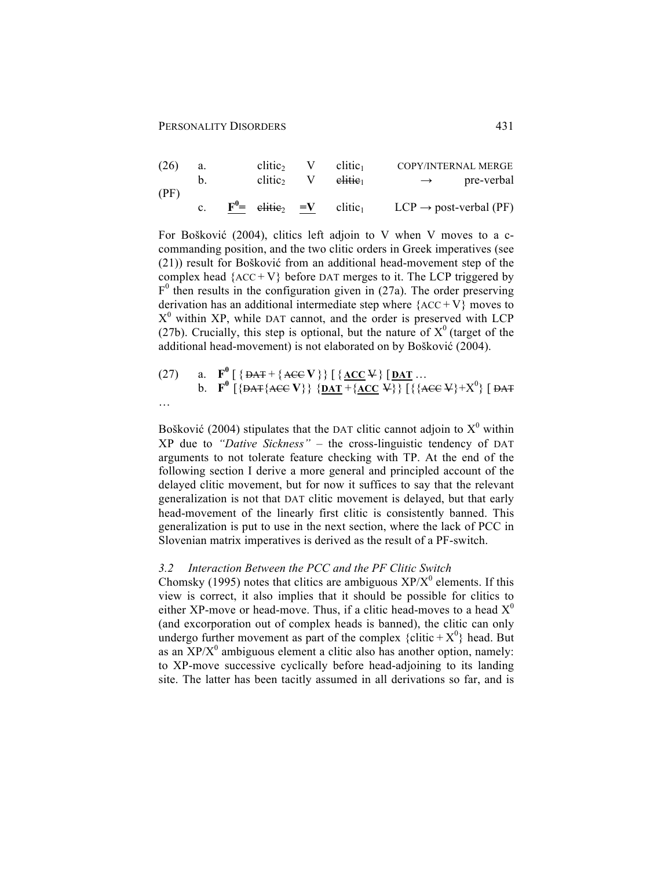(26) a. 
$$
clitic_{2}
$$
 V  $clitic_{1}$   $COPY/INTERNAL MERGE$  b.  $clitic_{2}$  V  $elitic_{1}$   $\rightarrow$   $pre-verbal$  (PF) c.  $\mathbf{F}^0 = \text{elitic}_{2} = \mathbf{V}$   $clitic_{1}$   $LCP \rightarrow post-verbal (PF)$ 

For Bošković (2004), clitics left adjoin to V when V moves to a ccommanding position, and the two clitic orders in Greek imperatives (see (21)) result for Bošković from an additional head-movement step of the complex head  ${ACC+V}$  before DAT merges to it. The LCP triggered by  $F<sup>0</sup>$  then results in the configuration given in (27a). The order preserving derivation has an additional intermediate step where  ${ACC + V}$  moves to  $X<sup>0</sup>$  within XP, while DAT cannot, and the order is preserved with LCP (27b). Crucially, this step is optional, but the nature of  $X^0$  (target of the additional head-movement) is not elaborated on by Bošković (2004).

(27) a. 
$$
\mathbf{F}^0
$$
 [ $\{ \text{BAF} + \{ \text{ACE V} \} \}$  [ $\{ \text{ACC V} \}$  [ $\{ \text{DAT} \}$ ...  
b.  $\mathbf{F}^0$  [ $\{ \text{BAF} \{ \text{ACE V} \}$   $\{ \text{DAT} + \{ \text{ACC V} \} \}$  [ $\{ \{ \text{ACE V} \} + X^0 \}$  [ $\{ \text{BAF} \}$ ...

Bošković (2004) stipulates that the DAT clitic cannot adjoin to  $X^0$  within XP due to *"Dative Sickness"* – the cross-linguistic tendency of DAT arguments to not tolerate feature checking with TP. At the end of the following section I derive a more general and principled account of the delayed clitic movement, but for now it suffices to say that the relevant generalization is not that DAT clitic movement is delayed, but that early head-movement of the linearly first clitic is consistently banned. This generalization is put to use in the next section, where the lack of PCC in Slovenian matrix imperatives is derived as the result of a PF-switch.

# *3.2 Interaction Between the PCC and the PF Clitic Switch*

Chomsky (1995) notes that clitics are ambiguous  $XP/X^0$  elements. If this view is correct, it also implies that it should be possible for clitics to either XP-move or head-move. Thus, if a clitic head-moves to a head  $X^0$ (and excorporation out of complex heads is banned), the clitic can only undergo further movement as part of the complex  $\{clitic + X^0\}$  head. But as an  $XP/X^0$  ambiguous element a clitic also has another option, namely: to XP-move successive cyclically before head-adjoining to its landing site. The latter has been tacitly assumed in all derivations so far, and is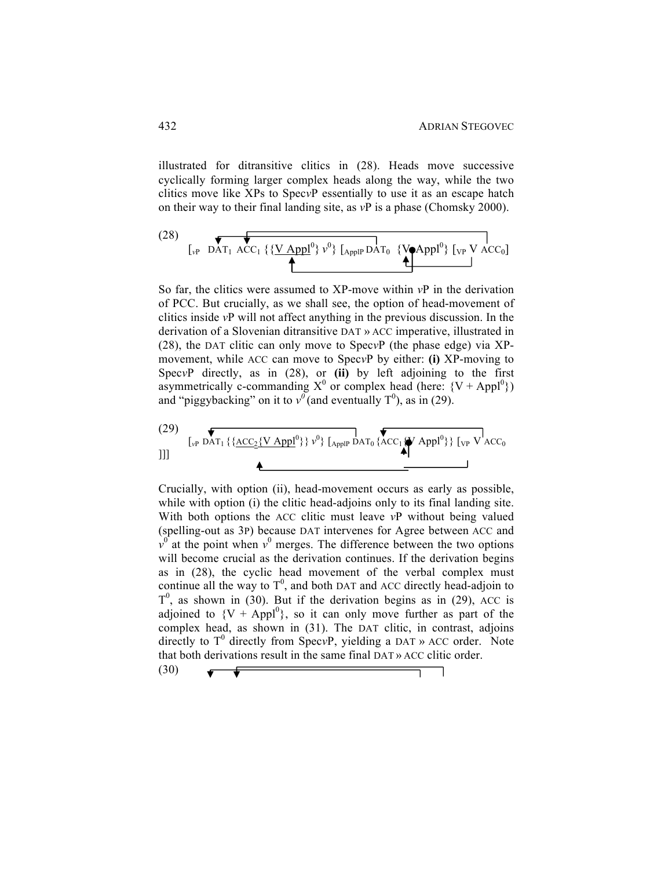illustrated for ditransitive clitics in (28). Heads move successive cyclically forming larger complex heads along the way, while the two clitics move like XPs to Spec*v*P essentially to use it as an escape hatch on their way to their final landing site, as *v*P is a phase (Chomsky 2000).

(28) 
$$
\begin{array}{c}\n\downarrow \\
[\text{VP} \text{ DAT}_1 \text{ ACC}_1 \{\{\underline{V \text{ Appl}^0}\} \text{ } v^0\} \text{ [appDAT}_0 \text{ }\{\underline{V} \text{ Appl}^0\} \text{ [VP V ACC}_0]\n\end{array}
$$

So far, the clitics were assumed to XP-move within *v*P in the derivation of PCC. But crucially, as we shall see, the option of head-movement of clitics inside *v*P will not affect anything in the previous discussion. In the derivation of a Slovenian ditransitive DAT » ACC imperative, illustrated in (28), the DAT clitic can only move to Spec*v*P (the phase edge) via XPmovement, while ACC can move to Spec*v*P by either: **(i)** XP-moving to Spec*v*P directly, as in (28), or **(ii)** by left adjoining to the first asymmetrically c-commanding  $X^0$  or complex head (here:  $\{V + \text{Appl}^0\}$ ) and "piggybacking" on it to  $v^0$  (and eventually T<sup>0</sup>), as in (29).

(29) 
$$
\begin{array}{c}\n\downarrow \\
[\text{VP } \text{DAT}_1 \left\{ \frac{\text{ACC}_2 \{V \text{ Appl}^0\}}{\text{P}} \right\} \nu^0 \left\{ \text{LappIP } \text{DAT}_0 \left\{ \text{ACC}_1 \left( V \text{ Appl}^0 \right\} \right\} \left[ \text{VP } V \text{ ACC}_0 \right]\n\end{array}
$$

Crucially, with option (ii), head-movement occurs as early as possible, while with option (i) the clitic head-adjoins only to its final landing site. With both options the ACC clitic must leave *v*P without being valued (spelling-out as 3P) because DAT intervenes for Agree between ACC and  $v^0$  at the point when  $v^0$  merges. The difference between the two options will become crucial as the derivation continues. If the derivation begins as in (28), the cyclic head movement of the verbal complex must continue all the way to  $T^0$ , and both DAT and ACC directly head-adjoin to  $T<sup>0</sup>$ , as shown in (30). But if the derivation begins as in (29), ACC is adjoined to  ${V + Appl^0}$ , so it can only move further as part of the complex head, as shown in (31). The DAT clitic, in contrast, adjoins directly to  $T^0$  directly from Spec*vP*, yielding a DAT » ACC order. Note that both derivations result in the same final DAT » ACC clitic order. (30)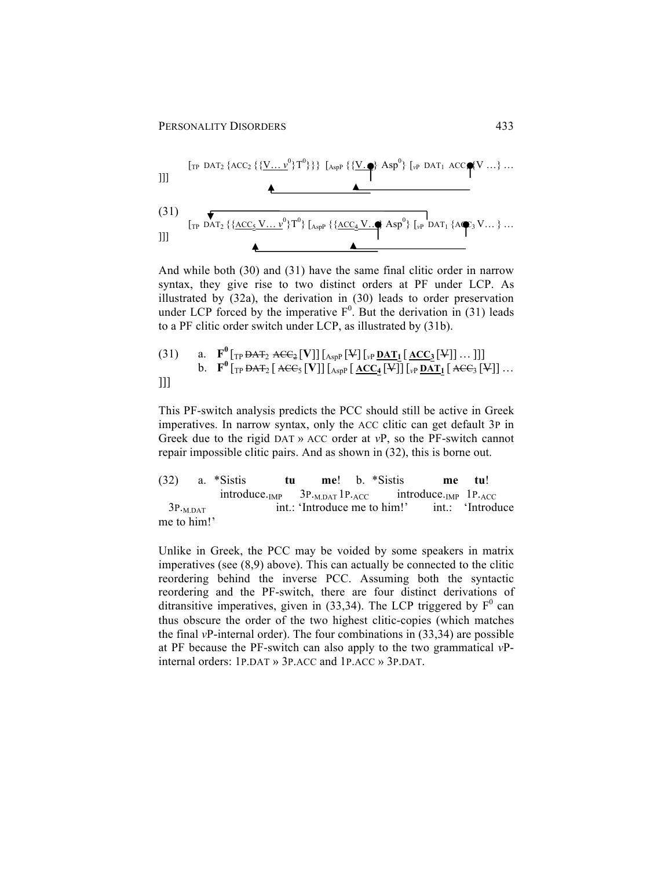[TP DAT2 {ACC2 {{V… *v* 0 }T<sup>0</sup> }}} [AspP {{V…} Asp<sup>0</sup> } [*v*P DAT1 ACC1 {V …} … ]]] (31) [TP DAT2 {{ACC5 V… *v* 0 }T<sup>0</sup> } [AspP {{ACC4 V…} Asp<sup>0</sup> } [*v*P DAT1 {ACC3 V… } … ]]]

And while both (30) and (31) have the same final clitic order in narrow syntax, they give rise to two distinct orders at PF under LCP. As illustrated by (32a), the derivation in (30) leads to order preservation under LCP forced by the imperative  $F^0$ . But the derivation in (31) leads to a PF clitic order switch under LCP, as illustrated by (31b).

(31) a. 
$$
\mathbf{F}^0
$$
 [<sup>TP</sup> ~~DATA~~ ~~ACE~~<sub>2</sub> [**V**]] [ $_{AspP}$  [**V**] [ $_{vP}$  DAT<sub>1</sub> [ $\underline{ACC}_3$  [**V**]] ... ]]]  
b.  $\mathbf{F}^0$  [ $_{TP}$  BAT<sub>2</sub> [ $\underline{ACC}_5$  [**V**]] [ $_{AspP}$  [ $\underline{ACC}_4$  [**V**]] [ $_{vP}$  DATA<sub>1</sub> [ $ACC_3$  [**V**]] ...  
]]]

This PF-switch analysis predicts the PCC should still be active in Greek imperatives. In narrow syntax, only the ACC clitic can get default 3P in Greek due to the rigid DAT » ACC order at *v*P, so the PF-switch cannot repair impossible clitic pairs. And as shown in (32), this is borne out.

(32) a. \*Sistis **tu me**! b. \*Sistis **me tu**! introduce. $I_{MP}$  3P.<sub>M.DAT</sub> 1P.<sub>ACC</sub> introduce.<sub>IMP</sub> 1P.<sub>ACC</sub> 3P.<sub>MDAT</sub> int.: 'Introduce me to him!' int.: 'Introduce me to him!'

Unlike in Greek, the PCC may be voided by some speakers in matrix imperatives (see (8,9) above). This can actually be connected to the clitic reordering behind the inverse PCC. Assuming both the syntactic reordering and the PF-switch, there are four distinct derivations of ditransitive imperatives, given in  $(33,34)$ . The LCP triggered by  $F^0$  can thus obscure the order of the two highest clitic-copies (which matches the final *v*P-internal order). The four combinations in (33,34) are possible at PF because the PF-switch can also apply to the two grammatical *v*Pinternal orders: 1P.DAT » 3P.ACC and 1P.ACC » 3P.DAT.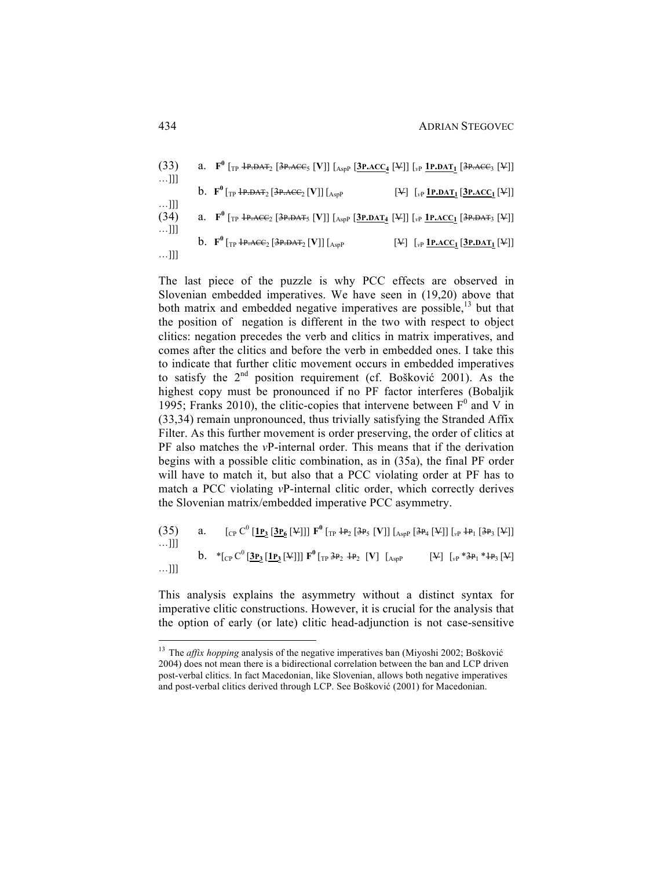| (33)                  | a. $F^0$ [ <sub>TP</sub> 4P.DAT <sub>2</sub> [3P.ACC <sub>5</sub> [V]] [ <sub>AspP</sub> [3P.ACC <sub>4</sub> [V]] [ <sub>vP</sub> 1P.DAT <sub>1</sub> [3P.ACC <sub>3</sub> [V]] |                                                                                               |  |
|-----------------------|----------------------------------------------------------------------------------------------------------------------------------------------------------------------------------|-----------------------------------------------------------------------------------------------|--|
| $$ ]]]                | b. $\mathbf{F}^0$ [ <sub>TP</sub> + P.DA <sub>T</sub> <sub>2</sub> [3P.AC <sub>C<sub>2</sub></sub> [V]] [ <sub>AspP</sub>                                                        | $[\Psi]$ [ <sub>V</sub> P <b>1P.DAT</b> <sub>1</sub> [ <b>3P.ACC</b> <sub>1</sub> [ $\Psi$ ]] |  |
| ]]]<br>(34)           | a. $F^0$ [ <sub>TP</sub> 4P.ACC <sub>2</sub> [3P.DAT <sub>5</sub> [V]] [ <sub>AspP</sub> [3P.DAT <sub>4</sub> [V]] [ <sub>vP</sub> 1P.ACC <sub>1</sub> [3P.DAT <sub>3</sub> [V]] |                                                                                               |  |
| $$ ]]]<br>$\dots$ ]]] | b. $\mathbf{F}^0$ [ <sub>TP</sub> + P.ACC <sub>2</sub> [3P.DAT <sub>2</sub> [V]] [ <sub>AspP</sub>                                                                               | $[\Psi]$ [ <sub>vP</sub> <b>1P.ACC</b> <sub>1</sub> [ <b>3P.DAT</b> <sub>1</sub> [ $\Psi$ ]]  |  |
|                       |                                                                                                                                                                                  |                                                                                               |  |

The last piece of the puzzle is why PCC effects are observed in Slovenian embedded imperatives. We have seen in (19,20) above that both matrix and embedded negative imperatives are possible, $^{13}$  but that the position of negation is different in the two with respect to object clitics: negation precedes the verb and clitics in matrix imperatives, and comes after the clitics and before the verb in embedded ones. I take this to indicate that further clitic movement occurs in embedded imperatives to satisfy the  $2<sup>nd</sup>$  position requirement (cf. Bošković 2001). As the highest copy must be pronounced if no PF factor interferes (Bobaljik 1995; Franks 2010), the clitic-copies that intervene between  $F^0$  and V in (33,34) remain unpronounced, thus trivially satisfying the Stranded Affix Filter. As this further movement is order preserving, the order of clitics at PF also matches the *v*P-internal order. This means that if the derivation begins with a possible clitic combination, as in (35a), the final PF order will have to match it, but also that a PCC violating order at PF has to match a PCC violating *v*P-internal clitic order, which correctly derives the Slovenian matrix/embedded imperative PCC asymmetry.

(35) a. 
$$
[\text{cp } C^0 \left[\frac{1P_3}{3P_6} [4\text{]} \right]] F^0 [\text{rp } 4P_2 [3P_5 [V]] [\text{AspP } [3P_4 [4\text{]}] [\text{vp } 4P_1 [3P_3 [4\text{]}]]
$$
  
...]]] b.  ${}^*[\text{cp } C^0 \left[\frac{3P_3}{3P_2} [1P_2 [4\text{]}] \right] F^0 [\text{rp } 3P_2 4P_2 [V] [\text{AspP } [4\text{p } 4P_1 \text{lp } 4P_1 4P_3 [4\text{]}]]$ 

This analysis explains the asymmetry without a distinct syntax for imperative clitic constructions. However, it is crucial for the analysis that the option of early (or late) clitic head-adjunction is not case-sensitive

<sup>&</sup>lt;sup>13</sup> The *affix hopping* analysis of the negative imperatives ban (Miyoshi 2002; Bošković 2004) does not mean there is a bidirectional correlation between the ban and LCP driven post-verbal clitics. In fact Macedonian, like Slovenian, allows both negative imperatives and post-verbal clitics derived through LCP. See Bošković (2001) for Macedonian.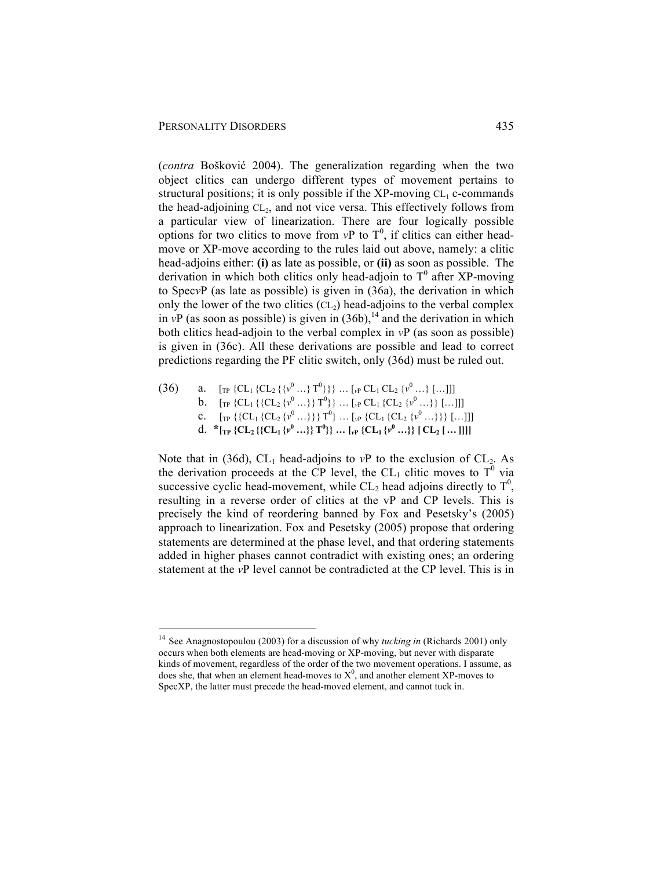(*contra* Bošković 2004). The generalization regarding when the two object clitics can undergo different types of movement pertains to structural positions; it is only possible if the XP-moving  $CL_1$  c-commands the head-adjoining  $CL_2$ , and not vice versa. This effectively follows from a particular view of linearization. There are four logically possible options for two clitics to move from  $vP$  to  $T<sup>0</sup>$ , if clitics can either headmove or XP-move according to the rules laid out above, namely: a clitic head-adjoins either: **(i)** as late as possible, or **(ii)** as soon as possible. The derivation in which both clitics only head-adjoin to  $T^0$  after XP-moving to Spec*v*P (as late as possible) is given in (36a), the derivation in which only the lower of the two clitics  $(C<sub>L2</sub>)$  head-adjoins to the verbal complex in  $vP$  (as soon as possible) is given in (36b),<sup>14</sup> and the derivation in which both clitics head-adjoin to the verbal complex in *v*P (as soon as possible) is given in (36c). All these derivations are possible and lead to correct predictions regarding the PF clitic switch, only (36d) must be ruled out.

(36) a. 
$$
[r_{\rm F} \{CL_1 \{CL_2 \{v^0 \ldots\}} T^0\} \} \ldots [r_{\rm F} CL_1 CL_2 \{v^0 \ldots\} [\ldots]]]
$$
\nb.  $[r_{\rm F} \{CL_1 \{CL_2 \{v^0 \ldots\}}\} T^0\} \ldots [r_{\rm F} CL_1 \{CL_2 \{v^0 \ldots\}\} [\ldots]]]$ \nc.  $[r_{\rm F} \{CL_1 \{CL_2 \{v^0 \ldots\}\} T^0\} \ldots [r_{\rm F} \{CL_1 \{CL_2 \{v^0 \ldots\}\} [\ldots]]]$ \nd.  $* [r_{\rm F} \{CL_2 \{C_{\rm L_1} \{v^0 \ldots\}\} T^0\} \ldots [r_{\rm F} \{CL_1 \{v^0 \ldots\}\} [CL_2 [\ldots]]]]$ 

Note that in (36d),  $CL_1$  head-adjoins to  $vP$  to the exclusion of  $CL_2$ . As the derivation proceeds at the CP level, the CL<sub>1</sub> clitic moves to  $T^0$  via successive cyclic head-movement, while  $CL_2$  head adjoins directly to  $T<sup>0</sup>$ , resulting in a reverse order of clitics at the vP and CP levels. This is precisely the kind of reordering banned by Fox and Pesetsky's (2005) approach to linearization. Fox and Pesetsky (2005) propose that ordering statements are determined at the phase level, and that ordering statements added in higher phases cannot contradict with existing ones; an ordering statement at the *v*P level cannot be contradicted at the CP level. This is in

 <sup>14</sup> See Anagnostopoulou (2003) for a discussion of why *tucking in* (Richards 2001) only occurs when both elements are head-moving or XP-moving, but never with disparate kinds of movement, regardless of the order of the two movement operations. I assume, as does she, that when an element head-moves to  $X^0$ , and another element XP-moves to SpecXP, the latter must precede the head-moved element, and cannot tuck in.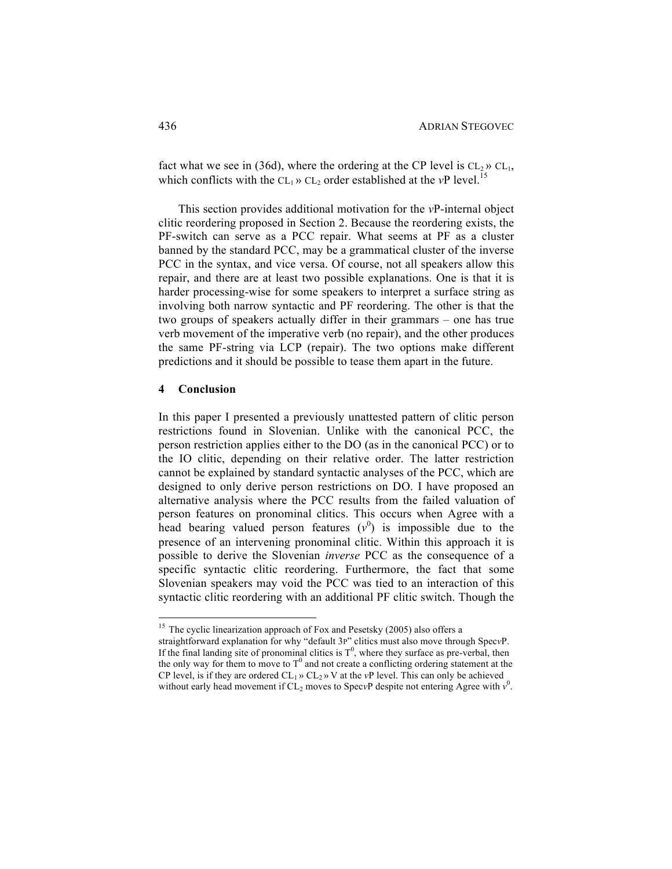fact what we see in (36d), where the ordering at the CP level is  $CL_2 \gg CL_1$ , which conflicts with the  $CL_1$ <sup>3</sup>  $CL_2$  order established at the *vP* level.<sup>15</sup>

This section provides additional motivation for the *v*P-internal object clitic reordering proposed in Section 2. Because the reordering exists, the PF-switch can serve as a PCC repair. What seems at PF as a cluster banned by the standard PCC, may be a grammatical cluster of the inverse PCC in the syntax, and vice versa. Of course, not all speakers allow this repair, and there are at least two possible explanations. One is that it is harder processing-wise for some speakers to interpret a surface string as involving both narrow syntactic and PF reordering. The other is that the two groups of speakers actually differ in their grammars – one has true verb movement of the imperative verb (no repair), and the other produces the same PF-string via LCP (repair). The two options make different predictions and it should be possible to tease them apart in the future.

#### **4 Conclusion**

In this paper I presented a previously unattested pattern of clitic person restrictions found in Slovenian. Unlike with the canonical PCC, the person restriction applies either to the DO (as in the canonical PCC) or to the IO clitic, depending on their relative order. The latter restriction cannot be explained by standard syntactic analyses of the PCC, which are designed to only derive person restrictions on DO. I have proposed an alternative analysis where the PCC results from the failed valuation of person features on pronominal clitics. This occurs when Agree with a head bearing valued person features  $(v^0)$  is impossible due to the presence of an intervening pronominal clitic. Within this approach it is possible to derive the Slovenian *inverse* PCC as the consequence of a specific syntactic clitic reordering. Furthermore, the fact that some Slovenian speakers may void the PCC was tied to an interaction of this syntactic clitic reordering with an additional PF clitic switch. Though the

<sup>&</sup>lt;sup>15</sup> The cyclic linearization approach of Fox and Pesetsky (2005) also offers a straightforward explanation for why "default 3P" clitics must also move through Spec*v*P. If the final landing site of pronominal clitics is  $T^0$ , where they surface as pre-verbal, then the only way for them to move to  $T^0$  and not create a conflicting ordering statement at the CP level, is if they are ordered  $CL_1 \times CL_2 \times V$  at the *vP* level. This can only be achieved without early head movement if  $CL_2$  moves to SpecvP despite not entering Agree with  $v^0$ .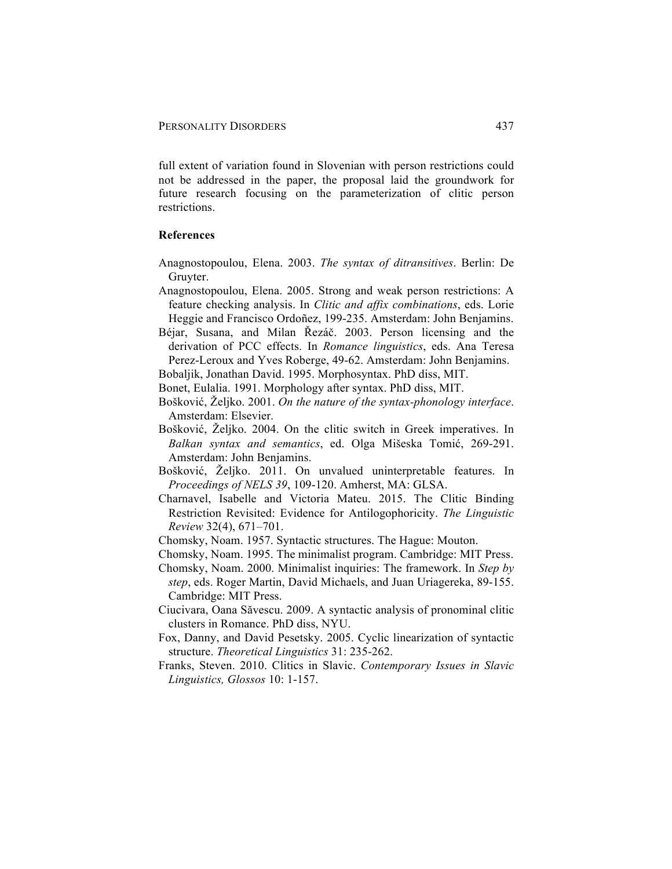full extent of variation found in Slovenian with person restrictions could not be addressed in the paper, the proposal laid the groundwork for future research focusing on the parameterization of clitic person restrictions.

# **References**

- Anagnostopoulou, Elena. 2003. *The syntax of ditransitives*. Berlin: De Gruyter.
- Anagnostopoulou, Elena. 2005. Strong and weak person restrictions: A feature checking analysis. In *Clitic and affix combinations*, eds. Lorie Heggie and Francisco Ordoñez, 199-235. Amsterdam: John Benjamins.
- Béjar, Susana, and Milan Řezáč. 2003. Person licensing and the derivation of PCC effects. In *Romance linguistics*, eds. Ana Teresa Perez-Leroux and Yves Roberge, 49-62. Amsterdam: John Benjamins. Bobaljik, Jonathan David. 1995. Morphosyntax. PhD diss, MIT.

Bonet, Eulalia. 1991. Morphology after syntax. PhD diss, MIT.

- Bošković, Željko. 2001. *On the nature of the syntax-phonology interface*. Amsterdam: Elsevier.
- Bošković, Željko. 2004. On the clitic switch in Greek imperatives. In *Balkan syntax and semantics*, ed. Olga Mišeska Tomić, 269-291. Amsterdam: John Benjamins.
- Bošković, Željko. 2011. On unvalued uninterpretable features. In *Proceedings of NELS 39*, 109-120. Amherst, MA: GLSA.
- Charnavel, Isabelle and Victoria Mateu. 2015. The Clitic Binding Restriction Revisited: Evidence for Antilogophoricity. *The Linguistic Review* 32(4), 671–701.
- Chomsky, Noam. 1957. Syntactic structures. The Hague: Mouton.
- Chomsky, Noam. 1995. The minimalist program. Cambridge: MIT Press.
- Chomsky, Noam. 2000. Minimalist inquiries: The framework. In *Step by step*, eds. Roger Martin, David Michaels, and Juan Uriagereka, 89-155. Cambridge: MIT Press.
- Ciucivara, Oana Săvescu. 2009. A syntactic analysis of pronominal clitic clusters in Romance. PhD diss, NYU.
- Fox, Danny, and David Pesetsky. 2005. Cyclic linearization of syntactic structure. *Theoretical Linguistics* 31: 235-262.
- Franks, Steven. 2010. Clitics in Slavic. *Contemporary Issues in Slavic Linguistics, Glossos* 10: 1-157.